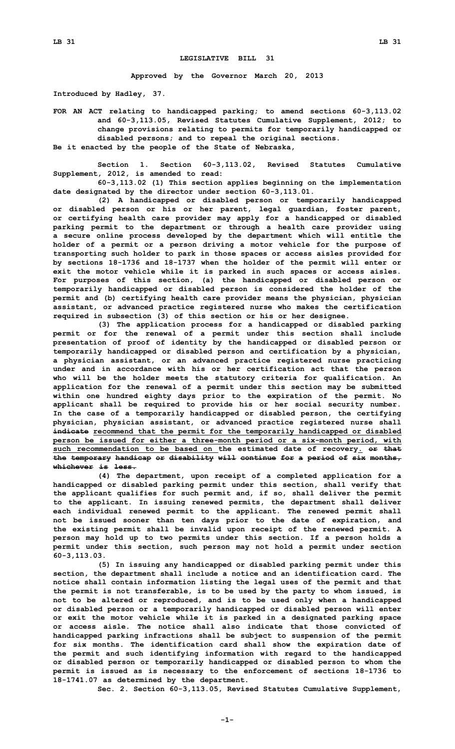## **LEGISLATIVE BILL 31**

**Approved by the Governor March 20, 2013**

**Introduced by Hadley, 37.**

**FOR AN ACT relating to handicapped parking; to amend sections 60-3,113.02 and 60-3,113.05, Revised Statutes Cumulative Supplement, 2012; to change provisions relating to permits for temporarily handicapped or disabled persons; and to repeal the original sections. Be it enacted by the people of the State of Nebraska,**

**Section 1. Section 60-3,113.02, Revised Statutes Cumulative Supplement, 2012, is amended to read:**

**60-3,113.02 (1) This section applies beginning on the implementation date designated by the director under section 60-3,113.01.**

**(2) <sup>A</sup> handicapped or disabled person or temporarily handicapped or disabled person or his or her parent, legal guardian, foster parent, or certifying health care provider may apply for <sup>a</sup> handicapped or disabled parking permit to the department or through <sup>a</sup> health care provider using <sup>a</sup> secure online process developed by the department which will entitle the holder of <sup>a</sup> permit or <sup>a</sup> person driving <sup>a</sup> motor vehicle for the purpose of transporting such holder to park in those spaces or access aisles provided for by sections 18-1736 and 18-1737 when the holder of the permit will enter or exit the motor vehicle while it is parked in such spaces or access aisles. For purposes of this section, (a) the handicapped or disabled person or temporarily handicapped or disabled person is considered the holder of the permit and (b) certifying health care provider means the physician, physician assistant, or advanced practice registered nurse who makes the certification required in subsection (3) of this section or his or her designee.**

**(3) The application process for <sup>a</sup> handicapped or disabled parking permit or for the renewal of <sup>a</sup> permit under this section shall include presentation of proof of identity by the handicapped or disabled person or temporarily handicapped or disabled person and certification by <sup>a</sup> physician, <sup>a</sup> physician assistant, or an advanced practice registered nurse practicing under and in accordance with his or her certification act that the person who will be the holder meets the statutory criteria for qualification. An application for the renewal of <sup>a</sup> permit under this section may be submitted within one hundred eighty days prior to the expiration of the permit. No applicant shall be required to provide his or her social security number. In the case of <sup>a</sup> temporarily handicapped or disabled person, the certifying physician, physician assistant, or advanced practice registered nurse shall indicate recommend that the permit for the temporarily handicapped or disabled person be issued for either <sup>a</sup> three-month period or <sup>a</sup> six-month period, with such recommendation to be based on the estimated date of recovery. or that the temporary handicap or disability will continue for <sup>a</sup> period of six months, whichever is less.**

**(4) The department, upon receipt of <sup>a</sup> completed application for <sup>a</sup> handicapped or disabled parking permit under this section, shall verify that the applicant qualifies for such permit and, if so, shall deliver the permit to the applicant. In issuing renewed permits, the department shall deliver each individual renewed permit to the applicant. The renewed permit shall not be issued sooner than ten days prior to the date of expiration, and the existing permit shall be invalid upon receipt of the renewed permit. A person may hold up to two permits under this section. If <sup>a</sup> person holds <sup>a</sup> permit under this section, such person may not hold <sup>a</sup> permit under section 60-3,113.03.**

**(5) In issuing any handicapped or disabled parking permit under this section, the department shall include <sup>a</sup> notice and an identification card. The notice shall contain information listing the legal uses of the permit and that the permit is not transferable, is to be used by the party to whom issued, is not to be altered or reproduced, and is to be used only when <sup>a</sup> handicapped or disabled person or <sup>a</sup> temporarily handicapped or disabled person will enter or exit the motor vehicle while it is parked in <sup>a</sup> designated parking space or access aisle. The notice shall also indicate that those convicted of handicapped parking infractions shall be subject to suspension of the permit for six months. The identification card shall show the expiration date of the permit and such identifying information with regard to the handicapped or disabled person or temporarily handicapped or disabled person to whom the permit is issued as is necessary to the enforcement of sections 18-1736 to 18-1741.07 as determined by the department.**

**Sec. 2. Section 60-3,113.05, Revised Statutes Cumulative Supplement,**